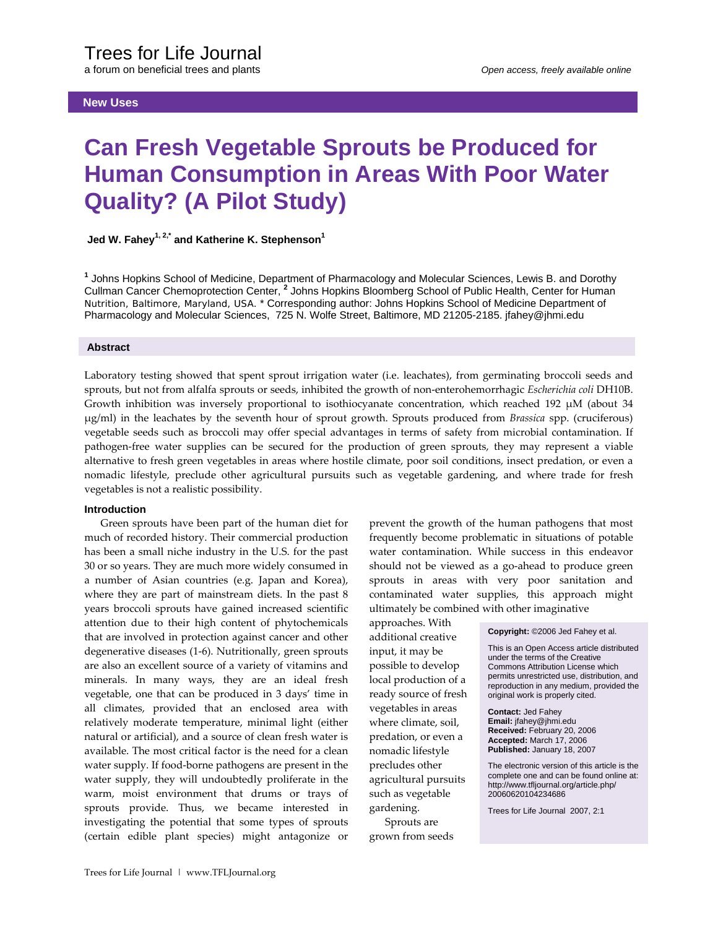a forum on beneficial trees and plants *Open access, freely available online* 

# **New Uses**

# **Can Fresh Vegetable Sprouts be Produced for Human Consumption in Areas With Poor Water Quality? (A Pilot Study)**

 **Jed W. Fahey**<sup>1, 2,\*</sup> and Katherine K. Stephenson<sup>1</sup>

**1** Johns Hopkins School of Medicine, Department of Pharmacology and Molecular Sciences, Lewis B. and Dorothy Cullman Cancer Chemoprotection Center, **<sup>2</sup>** Johns Hopkins Bloomberg School of Public Health, Center for Human Nutrition, Baltimore, Maryland, USA. \* Corresponding author: Johns Hopkins School of Medicine Department of Pharmacology and Molecular Sciences, 725 N. Wolfe Street, Baltimore, MD 21205-2185. jfahey@jhmi.edu

#### **Abstract**

Laboratory testing showed that spent sprout irrigation water (i.e. leachates), from germinating broccoli seeds and sprouts, but not from alfalfa sprouts or seeds, inhibited the growth of non‐enterohemorrhagic *Escherichia coli* DH10B. Growth inhibition was inversely proportional to isothiocyanate concentration, which reached 192 μM (about 34 μg/ml) in the leachates by the seventh hour of sprout growth. Sprouts produced from *Brassica* spp. (cruciferous) vegetable seeds such as broccoli may offer special advantages in terms of safety from microbial contamination. If pathogen‐free water supplies can be secured for the production of green sprouts, they may represent a viable alternative to fresh green vegetables in areas where hostile climate, poor soil conditions, insect predation, or even a nomadic lifestyle, preclude other agricultural pursuits such as vegetable gardening, and where trade for fresh vegetables is not a realistic possibility.

> approaches. With additional creative input, it may be possible to develop local production of a ready source of fresh vegetables in areas where climate, soil, predation, or even a nomadic lifestyle precludes other agricultural pursuits such as vegetable gardening. Sprouts are grown from seeds

## **Introduction**

Green sprouts have been part of the human diet for much of recorded history. Their commercial production has been a small niche industry in the U.S. for the past 30 or so years. They are much more widely consumed in a number of Asian countries (e.g. Japan and Korea), where they are part of mainstream diets. In the past 8 years broccoli sprouts have gained increased scientific attention due to their high content of phytochemicals that are involved in protection against cancer and other degenerative diseases (1‐6). Nutritionally, green sprouts are also an excellent source of a variety of vitamins and minerals. In many ways, they are an ideal fresh vegetable, one that can be produced in 3 days' time in all climates, provided that an enclosed area with relatively moderate temperature, minimal light (either natural or artificial), and a source of clean fresh water is available. The most critical factor is the need for a clean water supply. If food-borne pathogens are present in the water supply, they will undoubtedly proliferate in the warm, moist environment that drums or trays of sprouts provide. Thus, we became interested in investigating the potential that some types of sprouts (certain edible plant species) might antagonize or prevent the growth of the human pathogens that most frequently become problematic in situations of potable water contamination. While success in this endeavor should not be viewed as a go-ahead to produce green sprouts in areas with very poor sanitation and contaminated water supplies, this approach might ultimately be combined with other imaginative

**Copyright:** ©2006 Jed Fahey et al.

This is an Open Access article distributed under the terms of the Creative Commons Attribution License which permits unrestricted use, distribution, and reproduction in any medium, provided the original work is properly cited.

**Contact:** Jed Fahey **Email:** jfahey@jhmi.edu **Received:** February 20, 2006 **Accepted:** March 17, 2006 **Published:** January 18, 2007

The electronic version of this article is the complete one and can be found online at: http://www.tfljournal.org/article.php/ 20060620104234686

Trees for Life Journal 2007, 2:1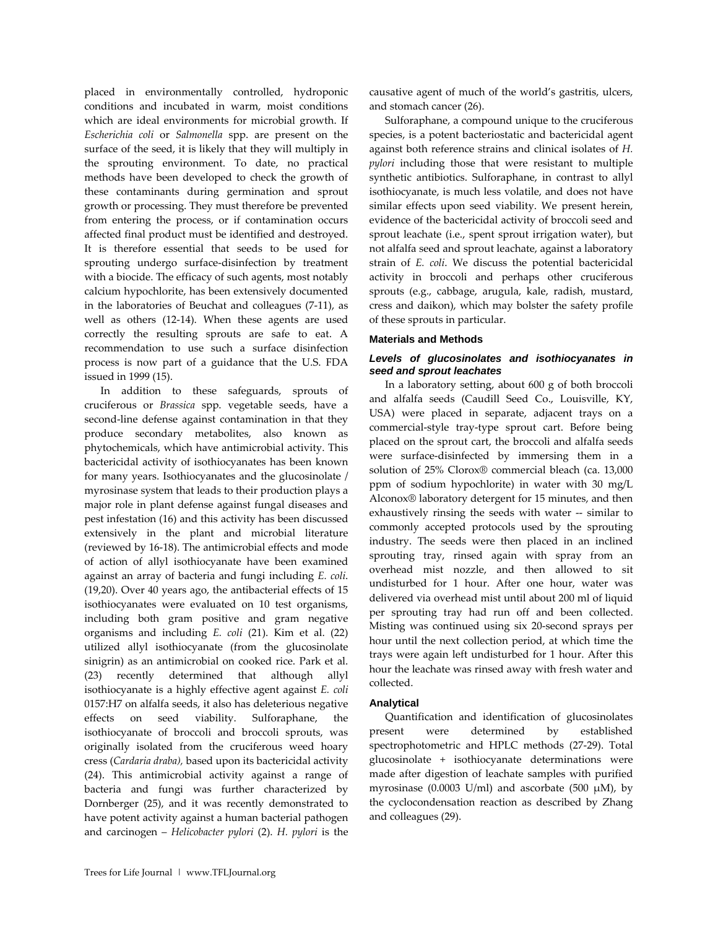placed in environmentally controlled, hydroponic conditions and incubated in warm, moist conditions which are ideal environments for microbial growth. If *Escherichia coli* or *Salmonella* spp. are present on the surface of the seed, it is likely that they will multiply in the sprouting environment. To date, no practical methods have been developed to check the growth of these contaminants during germination and sprout growth or processing. They must therefore be prevented from entering the process, or if contamination occurs affected final product must be identified and destroyed. It is therefore essential that seeds to be used for sprouting undergo surface-disinfection by treatment with a biocide. The efficacy of such agents, most notably calcium hypochlorite, has been extensively documented in the laboratories of Beuchat and colleagues (7‐11), as well as others (12‐14). When these agents are used correctly the resulting sprouts are safe to eat. A recommendation to use such a surface disinfection process is now part of a guidance that the U.S. FDA issued in 1999 (15).

In addition to these safeguards, sprouts of cruciferous or *Brassica* spp. vegetable seeds, have a second-line defense against contamination in that they produce secondary metabolites, also known as phytochemicals, which have antimicrobial activity. This bactericidal activity of isothiocyanates has been known for many years. Isothiocyanates and the glucosinolate / myrosinase system that leads to their production plays a major role in plant defense against fungal diseases and pest infestation (16) and this activity has been discussed extensively in the plant and microbial literature (reviewed by 16‐18). The antimicrobial effects and mode of action of allyl isothiocyanate have been examined against an array of bacteria and fungi including *E. coli*. (19,20). Over 40 years ago, the antibacterial effects of 15 isothiocyanates were evaluated on 10 test organisms, including both gram positive and gram negative organisms and including *E. coli* (21). Kim et al. (22) utilized allyl isothiocyanate (from the glucosinolate sinigrin) as an antimicrobial on cooked rice. Park et al. (23) recently determined that although allyl isothiocyanate is a highly effective agent against *E. coli* 0157:H7 on alfalfa seeds, it also has deleterious negative effects on seed viability. Sulforaphane, the isothiocyanate of broccoli and broccoli sprouts, was originally isolated from the cruciferous weed hoary cress (*Cardaria draba),* based upon its bactericidal activity (24). This antimicrobial activity against a range of bacteria and fungi was further characterized by Dornberger (25), and it was recently demonstrated to have potent activity against a human bacterial pathogen and carcinogen – *Helicobacter pylori* (2). *H. pylori* is the

causative agent of much of the world's gastritis, ulcers, and stomach cancer (26).

Sulforaphane, a compound unique to the cruciferous species, is a potent bacteriostatic and bactericidal agent against both reference strains and clinical isolates of *H. pylori* including those that were resistant to multiple synthetic antibiotics. Sulforaphane, in contrast to allyl isothiocyanate, is much less volatile, and does not have similar effects upon seed viability. We present herein, evidence of the bactericidal activity of broccoli seed and sprout leachate (i.e., spent sprout irrigation water), but not alfalfa seed and sprout leachate, against a laboratory strain of *E. coli*. We discuss the potential bactericidal activity in broccoli and perhaps other cruciferous sprouts (e.g., cabbage, arugula, kale, radish, mustard, cress and daikon), which may bolster the safety profile of these sprouts in particular.

## **Materials and Methods**

# *Levels of glucosinolates and isothiocyanates in seed and sprout leachates*

In a laboratory setting, about 600 g of both broccoli and alfalfa seeds (Caudill Seed Co., Louisville, KY, USA) were placed in separate, adjacent trays on a commercial‐style tray‐type sprout cart. Before being placed on the sprout cart, the broccoli and alfalfa seeds were surface-disinfected by immersing them in a solution of 25% Clorox® commercial bleach (ca. 13,000 ppm of sodium hypochlorite) in water with 30 mg/L Alconox® laboratory detergent for 15 minutes, and then exhaustively rinsing the seeds with water -- similar to commonly accepted protocols used by the sprouting industry. The seeds were then placed in an inclined sprouting tray, rinsed again with spray from an overhead mist nozzle, and then allowed to sit undisturbed for 1 hour. After one hour, water was delivered via overhead mist until about 200 ml of liquid per sprouting tray had run off and been collected. Misting was continued using six 20‐second sprays per hour until the next collection period, at which time the trays were again left undisturbed for 1 hour. After this hour the leachate was rinsed away with fresh water and collected.

# **Analytical**

Quantification and identification of glucosinolates present were determined by established spectrophotometric and HPLC methods (27‐29). Total glucosinolate + isothiocyanate determinations were made after digestion of leachate samples with purified myrosinase (0.0003 U/ml) and ascorbate (500  $\mu$ M), by the cyclocondensation reaction as described by Zhang and colleagues (29).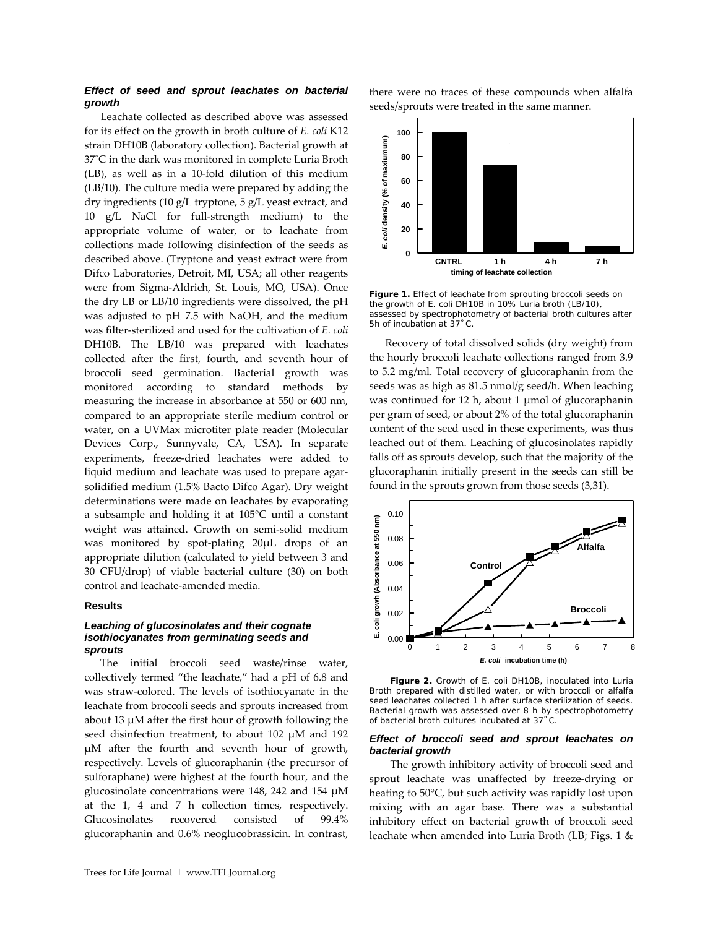# *Effect of seed and sprout leachates on bacterial growth*

Leachate collected as described above was assessed for its effect on the growth in broth culture of *E. coli* K12 strain DH10B (laboratory collection). Bacterial growth at 37˚C in the dark was monitored in complete Luria Broth (LB), as well as in a 10‐fold dilution of this medium (LB/10). The culture media were prepared by adding the dry ingredients (10 g/L tryptone, 5 g/L yeast extract, and 10 g/L NaCl for full‐strength medium) to the appropriate volume of water, or to leachate from collections made following disinfection of the seeds as described above. (Tryptone and yeast extract were from Difco Laboratories, Detroit, MI, USA; all other reagents were from Sigma‐Aldrich, St. Louis, MO, USA). Once the dry LB or LB/10 ingredients were dissolved, the pH was adjusted to pH 7.5 with NaOH, and the medium was filter‐sterilized and used for the cultivation of *E. coli* DH10B. The LB/10 was prepared with leachates collected after the first, fourth, and seventh hour of broccoli seed germination. Bacterial growth was monitored according to standard methods by measuring the increase in absorbance at 550 or 600 nm, compared to an appropriate sterile medium control or water, on a UVMax microtiter plate reader (Molecular Devices Corp., Sunnyvale, CA, USA). In separate experiments, freeze‐dried leachates were added to liquid medium and leachate was used to prepare agar‐ solidified medium (1.5% Bacto Difco Agar). Dry weight determinations were made on leachates by evaporating a subsample and holding it at 105°C until a constant weight was attained. Growth on semi‐solid medium was monitored by spot-plating 20μL drops of an appropriate dilution (calculated to yield between 3 and 30 CFU/drop) of viable bacterial culture (30) on both control and leachate‐amended media.

## **Results**

# *Leaching of glucosinolates and their cognate isothiocyanates from germinating seeds and sprouts*

The initial broccoli seed waste/rinse water, collectively termed "the leachate," had a pH of 6.8 and was straw‐colored. The levels of isothiocyanate in the leachate from broccoli seeds and sprouts increased from about 13 μM after the first hour of growth following the seed disinfection treatment, to about 102 μM and 192 μM after the fourth and seventh hour of growth, respectively. Levels of glucoraphanin (the precursor of sulforaphane) were highest at the fourth hour, and the glucosinolate concentrations were 148, 242 and 154 μM at the 1, 4 and 7 h collection times, respectively. Glucosinolates recovered consisted of 99.4% glucoraphanin and 0.6% neoglucobrassicin. In contrast,



**Figure 1.** Effect of leachate from sprouting broccoli seeds on the growth of *E. coli* DH10B in 10% Luria broth (LB/10), assessed by spectrophotometry of bacterial broth cultures after 5h of incubation at 37˚C.

Recovery of total dissolved solids (dry weight) from the hourly broccoli leachate collections ranged from 3.9 to 5.2 mg/ml. Total recovery of glucoraphanin from the seeds was as high as 81.5 nmol/g seed/h. When leaching was continued for 12 h, about 1 μmol of glucoraphanin per gram of seed, or about 2% of the total glucoraphanin content of the seed used in these experiments, was thus leached out of them. Leaching of glucosinolates rapidly falls off as sprouts develop, such that the majority of the glucoraphanin initially present in the seeds can still be found in the sprouts grown from those seeds (3,31).



**Figure 2.** Growth of *E. coli* DH10B, inoculated into Luria Broth prepared with distilled water, or with broccoli or alfalfa seed leachates collected 1 h after surface sterilization of seeds. Bacterial growth was assessed over 8 h by spectrophotometry of bacterial broth cultures incubated at 37˚C.

#### *Effect of broccoli seed and sprout leachates on bacterial growth*

The growth inhibitory activity of broccoli seed and sprout leachate was unaffected by freeze‐drying or heating to 50°C, but such activity was rapidly lost upon mixing with an agar base. There was a substantial inhibitory effect on bacterial growth of broccoli seed leachate when amended into Luria Broth (LB; Figs. 1 &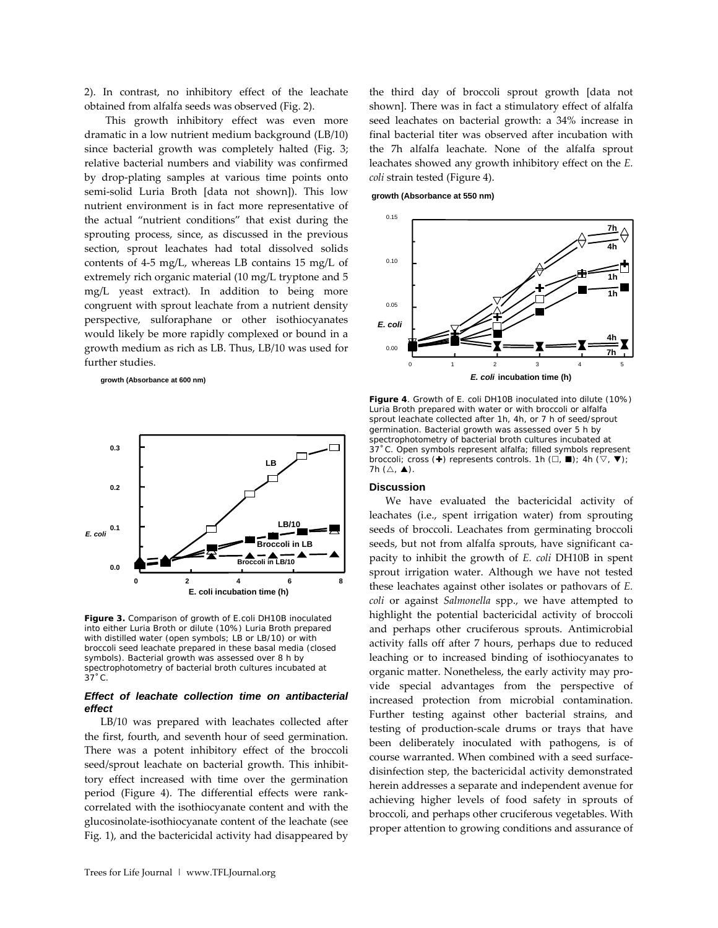2). In contrast, no inhibitory effect of the leachate obtained from alfalfa seeds was observed (Fig. 2).

This growth inhibitory effect was even more dramatic in a low nutrient medium background (LB/10) since bacterial growth was completely halted (Fig. 3; relative bacterial numbers and viability was confirmed by drop‐plating samples at various time points onto semi‐solid Luria Broth [data not shown]). This low nutrient environment is in fact more representative of the actual "nutrient conditions" that exist during the sprouting process, since, as discussed in the previous section, sprout leachates had total dissolved solids contents of 4‐5 mg/L, whereas LB contains 15 mg/L of extremely rich organic material (10 mg/L tryptone and 5 mg/L yeast extract). In addition to being more congruent with sprout leachate from a nutrient density perspective, sulforaphane or other isothiocyanates would likely be more rapidly complexed or bound in a growth medium as rich as LB. Thus, LB/10 was used for further studies.

 **growth (Absorbance at 600 nm)**



**Figure 3.** Comparison of growth of *E.coli* DH10B inoculated into either Luria Broth or dilute (10%) Luria Broth prepared with distilled water (open symbols; LB or LB/10) or with broccoli seed leachate prepared in these basal media (closed symbols). Bacterial growth was assessed over 8 h by spectrophotometry of bacterial broth cultures incubated at 37˚C.

## *Effect of leachate collection time on antibacterial effect*

LB/10 was prepared with leachates collected after the first, fourth, and seventh hour of seed germination. There was a potent inhibitory effect of the broccoli seed/sprout leachate on bacterial growth. This inhibittory effect increased with time over the germination period (Figure 4). The differential effects were rank‐ correlated with the isothiocyanate content and with the glucosinolate‐isothiocyanate content of the leachate (see Fig. 1), and the bactericidal activity had disappeared by

 **growth (Absorbance at 550 nm)**



**Figure 4**. Growth of *E. coli* DH10B inoculated into dilute (10%) 37 °C. Open symbols represent alfalfa; filled symbols represent Luria Broth prepared with water or with broccoli or alfalfa sprout leachate collected after 1h, 4h, or 7 h of seed/sprout germination. Bacterial growth was assessed over 5 h by spectrophotometry of bacterial broth cultures incubated at broccoli; cross (+) represents controls. 1h ( $\Box$ ,  $\blacksquare$ ); 4h ( $\triangledown$ ,  $\nabla$ ); 7h  $(\triangle, \triangle)$ .

#### **n Discussio**

We have evaluated the bactericidal activity of lea chates (i.e., spent irrigation water) from sprouting increased protection from microbial contamination. seeds of broccoli. Leachates from germinating broccoli seeds, but not from alfalfa sprouts, have significant capacity to inhibit the growth of *E. coli* DH10B in spent sprout irrigation water. Although we have not tested these leachates against other isolates or pathovars of *E. coli* or against *Salmonella* spp., we have attempted to highlight the potential bactericidal activity of broccoli and perhaps other cruciferous sprouts. Antimicrobial activity falls off after 7 hours, perhaps due to reduced leaching or to increased binding of isothiocyanates to organic matter. Nonetheless, the early activity may pro‐ vide special advantages from the perspective of Further testing against other bacterial strains, and testing of production‐scale drums or trays that have been deliberately inoculated with pathogens, is of course warranted. When combined with a seed surface‐ disinfection step, the bactericidal activity demonstrated herein addresses a separate and independent avenue for achieving higher levels of food safety in sprouts of broccoli, and perhaps other cruciferous vegetables. With proper attention to growing conditions and assurance of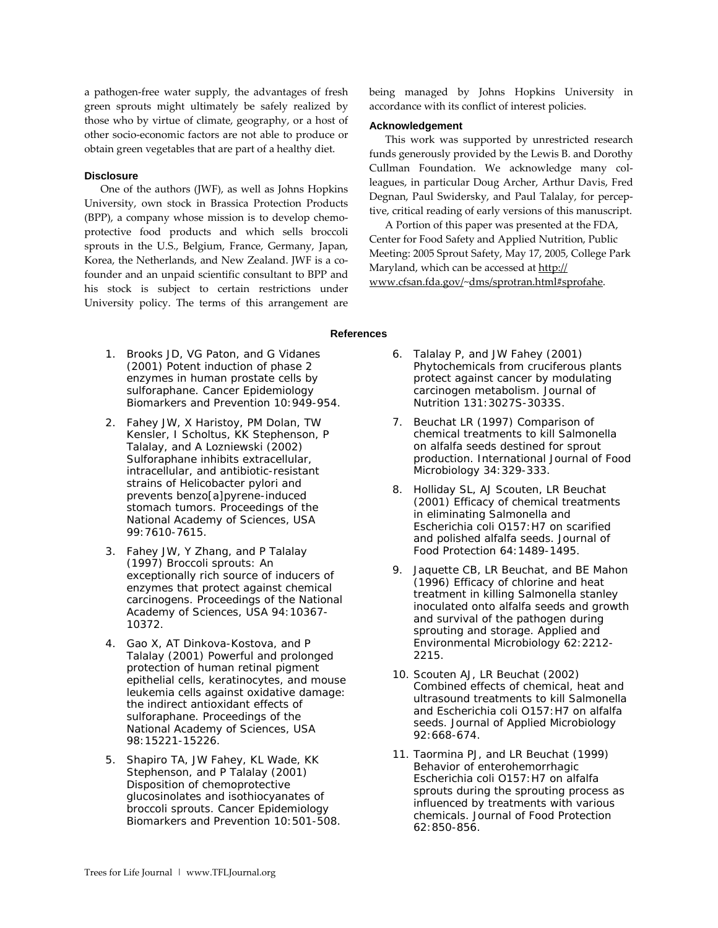a pathogen‐free water supply, the advantages of fresh green sprouts might ultimately be safely realized by those who by virtue of climate, geography, or a host of other socio‐economic factors are not able to produce or obtain green vegetables that are part of a healthy diet.

## **Disclosure**

One of the authors (JWF), as well as Johns Hopkins Un iversity, own stock in Brassica Protection Products (BPP), a company whose mission is to develop chemo‐ protective food products and which sells broccoli sprouts in the U.S., Belgium, France, Germany, Japan, Korea, the Netherlands, and New Zealand. JWF is a co‐ founder and an unpaid scientific consultant to BPP and his stock is subject to certain restrictions under University policy. The terms of this arrangement are

accordance with its conflict of interest policies. being managed by Johns Hopkins University in

#### **Acknowledgement**

This work was supported by unrestricted research fun ds generously provided by the Lewis B. and Dorothy leagues, in particular Doug Archer, Arthur Davis, Fred Cullman Foundation. We acknowledge many col-Degnan, Paul Swidersky, and Paul Talalay, for percep‐ tive, critical reading of early versions of this manuscript.

Ce nter for Food Safety and Applied Nutrition, Public k Meeting: 2005 Sprout Safety, May 17, 2005, College Par A Portion of this paper was presented at the FDA, Maryland, which can be accessed at http:// www.cfsan.fda.gov/~dms/sprotran.html#sprofahe.

## **References**

- 1. Brooks JD, VG Paton, and G Vidanes (2001) Potent induction of phase 2 enzymes in human prostate cells by sulforaphane. *Cancer Epidemiology Biomarkers and Prevention* 10:949-954.
- 2. Fahey JW, X Haristoy, PM Dolan, TW Kensler, I Scholtus, KK Stephenson, P Talalay, and A Lozniewski (2002) Sulforaphane inhibits extracellular, intracellular, and antibiotic-resistant strains of *Helicobacter pylori* and prevents benzo[a]pyrene-induced stomach tumors. *Proceedings of the National Academy of Sciences,* USA 99:7610-7615.
- 3. Fahey JW, Y Zhang, and P Talalay (1997) Broccoli sprouts: An exceptionally rich source of inducers of enzymes that protect against chemical carcinogens. *Proceedings of the National Academy of Sciences, USA* 94:10367- 10372.
- 4. Gao X, AT Dinkova-Kostova, and P Talalay (2001) Powerful and prolonged protection of human retinal pigment epithelial cells, keratinocytes, and mouse leukemia cells against oxidative damage: the indirect antioxidant effects of sulforaphane. *Proceedings of the National Academy of Sciences, USA* 98:15221-15226.
- 5. Shapiro TA, JW Fahey, KL Wade, KK Stephenson, and P Talalay (2001) Disposition of chemoprotective glucosinolates and isothiocyanates of broccoli sprouts. *Cancer Epidemiology Biomarkers and Prevention* 10:501-508.
- 6. Talalay P, and JW Fahey (2001) Phytochemicals from cruciferous plants protect against cancer by modulating carcinogen metabolism. *Journal of Nutrition* 131:3027S-3033S.
- 7. Beuchat LR (1997) Comparison of chemical treatments to kill *Salmonella* on alfalfa seeds destined for sprout production. *International Journal of Food Microbiology* 34:329-333.
- 8. Holliday SL, AJ Scouten, LR Beuchat (2001) Efficacy of chemical treatments in eliminating *Salmonella* and *Escherichia coli* O157:H7 on scarified and polished alfalfa seeds. *Journal of Food Protection* 64:1489-1495.
- 9. Jaquette CB, LR Beuchat, and BE Mahon (1996) Efficacy of chlorine and heat treatment in killing *Salmonella stanley* inoculated onto alfalfa seeds and growth and survival of the pathogen during sprouting and storage. *Applied and Environmental Microbiology* 62:2212- 2215.
- 10. Scouten AJ, LR Beuchat (2002) Combined effects of chemical, heat and ultrasound treatments to kill *Salmonella* and *Escherichia coli* O157:H7 on alfalfa seeds. *Journal of Applied Microbiology* 92:668-674.
- 11. Taormina PJ, and LR Beuchat (1999) Behavior of enterohemorrhagic *Escherichia coli* O157:H7 on alfalfa sprouts during the sprouting process as influenced by treatments with various chemicals. *Journal of Food Protection* 62:850-856.